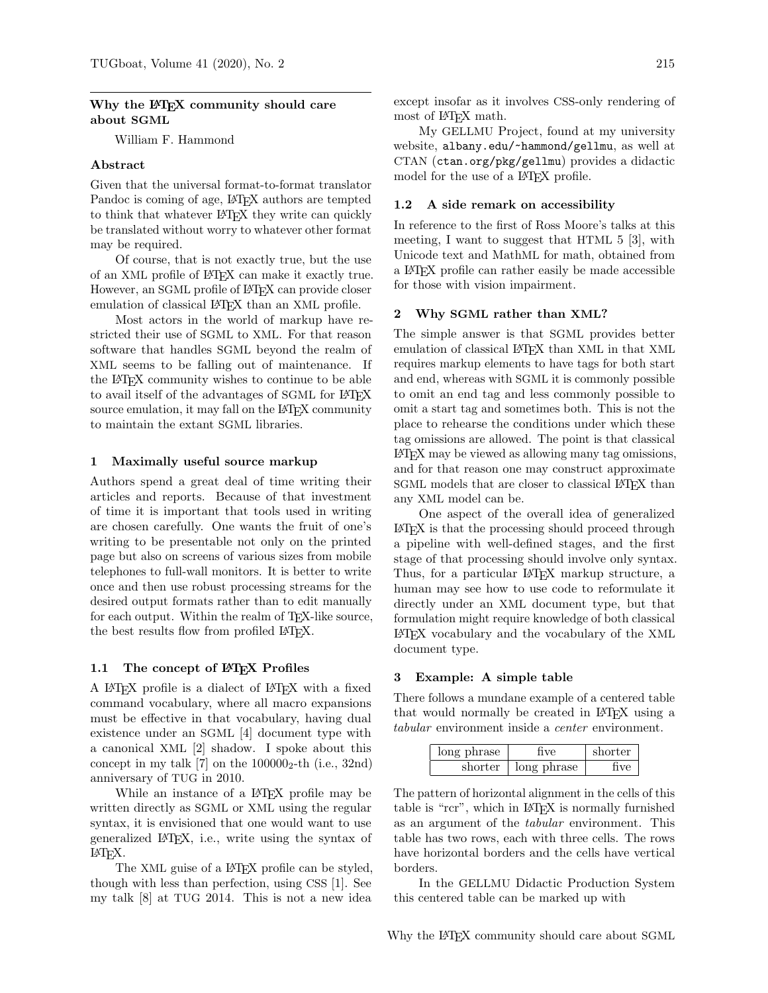# Why the LAT<sub>EX</sub> community should care about SGML

William F. Hammond

## Abstract

Given that the universal format-to-format translator Pandoc is coming of age, LATEX authors are tempted to think that whatever LAT<sub>EX</sub> they write can quickly be translated without worry to whatever other format may be required.

Of course, that is not exactly true, but the use of an XML profile of LATEX can make it exactly true. However, an SGML profile of L<sup>AT</sup>EX can provide closer emulation of classical LAT<sub>EX</sub> than an XML profile.

Most actors in the world of markup have restricted their use of SGML to XML. For that reason software that handles SGML beyond the realm of XML seems to be falling out of maintenance. If the LATEX community wishes to continue to be able to avail itself of the advantages of SGML for LATEX source emulation, it may fall on the LAT<sub>EX</sub> community to maintain the extant SGML libraries.

### 1 Maximally useful source markup

Authors spend a great deal of time writing their articles and reports. Because of that investment of time it is important that tools used in writing are chosen carefully. One wants the fruit of one's writing to be presentable not only on the printed page but also on screens of various sizes from mobile telephones to full-wall monitors. It is better to write once and then use robust processing streams for the desired output formats rather than to edit manually for each output. Within the realm of TEX-like source, the best results flow from profiled LAT<sub>EX</sub>.

#### 1.1 The concept of LATEX Profiles

A LATEX profile is a dialect of LATEX with a fixed command vocabulary, where all macro expansions must be effective in that vocabulary, having dual existence under an SGML [\[4\]](#page-3-0) document type with a canonical XML [\[2\]](#page-3-1) shadow. I spoke about this concept in [my talk](https://tug.org/tugboat/tb31-2/tb98hammond.pdf) [\[7\]](#page-3-2) on the  $100000<sub>2</sub>$ -th (i.e., 32nd) anniversary of TUG in 2010.

While an instance of a L<sup>AT</sup>FX profile may be written directly as SGML or XML using the regular syntax, it is envisioned that one would want to use generalized LATEX, i.e., write using the syntax of LATEX.

The XML guise of a L<sup>AT</sup>EX profile can be styled, though with less than perfection, using CSS [\[1\]](#page-3-3). See [my talk](https://tug.org/TUGboat/tb35-2/tb110hammond.pdf) [\[8\]](#page-3-4) at TUG 2014. This is not a new idea

except insofar as it involves CSS-only rendering of most of L<sup>AT</sup>FX math.

My GELLMU Project, found at my university website, [albany.edu/~hammond/gellmu](https://albany.edu/~hammond/gellmu), as well at CTAN ([ctan.org/pkg/gellmu](https://ctan.org/pkg/gellmu)) provides a didactic model for the use of a L<sup>AT</sup>EX profile.

### 1.2 A side remark on accessibility

In reference to the first of Ross Moore's talks at this meeting, I want to suggest that HTML 5 [\[3\]](#page-3-5), with Unicode text and MathML for math, obtained from a LATEX profile can rather easily be made accessible for those with vision impairment.

#### <span id="page-0-0"></span>2 Why SGML rather than XML?

The simple answer is that SGML provides better emulation of classical LAT<sub>EX</sub> than XML in that XML requires markup elements to have tags for both start and end, whereas with SGML it is commonly possible to omit an end tag and less commonly possible to omit a start tag and sometimes both. This is not the place to rehearse the conditions under which these tag omissions are allowed. The point is that classical LATEX may be viewed as allowing many tag omissions, and for that reason one may construct approximate SGML models that are closer to classical LATEX than any XML model can be.

One aspect of the overall idea of generalized LATEX is that the processing should proceed through a pipeline with well-defined stages, and the first stage of that processing should involve only syntax. Thus, for a particular LAT<sub>EX</sub> markup structure, a human may see how to use code to reformulate it directly under an XML document type, but that formulation might require knowledge of both classical LATEX vocabulary and the vocabulary of the XML document type.

#### 3 Example: A simple table

There follows a mundane example of a centered table that would normally be created in LATEX using a tabular environment inside a center environment.

| long phrase | five        | shorter |
|-------------|-------------|---------|
| shorter     | long phrase | five    |

The pattern of horizontal alignment in the cells of this table is "rcr", which in LATEX is normally furnished as an argument of the tabular environment. This table has two rows, each with three cells. The rows have horizontal borders and the cells have vertical borders.

In the GELLMU Didactic Production System this centered table can be marked up with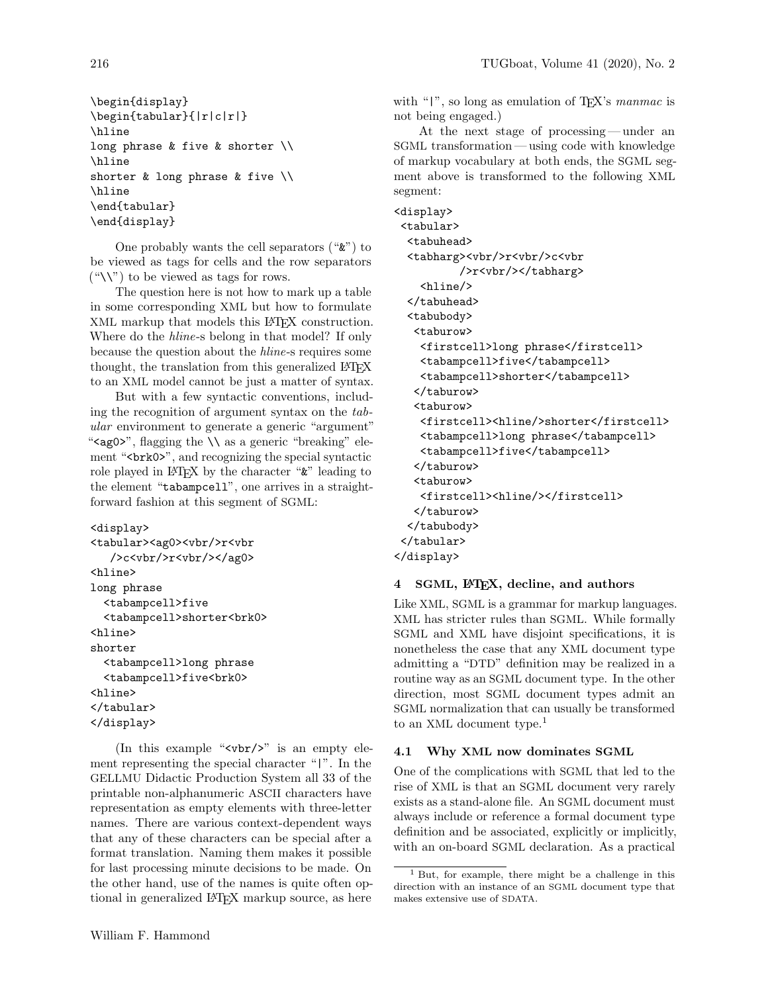```
\begin{display}
\begin{tabular}{|r|c|r|}
\hline
long phrase & five & shorter \\
\hline
shorter & long phrase & five \\
\hline
\end{tabular}
\end{display}
```
One probably wants the cell separators ("&") to be viewed as tags for cells and the row separators  $(\sqrt{\ }')$  to be viewed as tags for rows.

The question here is not how to mark up a table in some corresponding XML but how to formulate XML markup that models this LATEX construction. Where do the hline-s belong in that model? If only because the question about the hline-s requires some thought, the translation from this generalized LAT<sub>EX</sub> to an XML model cannot be just a matter of syntax.

But with a few syntactic conventions, including the recognition of argument syntax on the tabular environment to generate a generic "argument" " $\epsilon$  <ag0>", flagging the  $\setminus \setminus$  as a generic "breaking" element "<br/>brk0>", and recognizing the special syntactic role played in LATEX by the character "&" leading to the element "tabampcell", one arrives in a straightforward fashion at this segment of SGML:

```
<display>
<tabular><ag0><vbr/>r<vbr
   />c<vbr/>vt<vbr/>/>/ag0>
<hline>
long phrase
  <tabampcell>five
  <tabampcell>shorter<brk0>
<hline>
shorter
  <tabampcell>long phrase
  <tabampcell>five<brk0>
<hline>
</tabular>
</display>
```
(In this example " $\langle \text{vbr}/\rangle$ " is an empty element representing the special character "|". In the GELLMU Didactic Production System all 33 of the printable non-alphanumeric ASCII characters have representation as empty elements with three-letter names. There are various context-dependent ways that any of these characters can be special after a format translation. Naming them makes it possible for last processing minute decisions to be made. On the other hand, use of the names is quite often optional in generalized LATEX markup source, as here with " $|$ ", so long as emulation of T<sub>E</sub>X's *manmac* is not being engaged.)

At the next stage of processing— under an SGML transformation — using code with knowledge of markup vocabulary at both ends, the SGML segment above is transformed to the following XML segment:

```
<display>
<tabular>
 <tabuhead>
 <tabharg><vbr/>r<vbr/>c<vbr
          />r<vbr/></tabharg>
    <hline/>
  </tabuhead>
  <tabubody>
   <taburow>
    <firstcell>long phrase</firstcell>
    <tabampcell>five</tabampcell>
    <tabampcell>shorter</tabampcell>
   </taburow>
   <taburow>
    <firstcell><hline/>shorter</firstcell>
    <tabampcell>long phrase</tabampcell>
    <tabampcell>five</tabampcell>
   </taburow>
   <taburow>
    <firstcell><hline/>></firstcell>
   </taburow>
 </tabubody>
 </tabular>
</display>
```
# 4 SGML, LATEX, decline, and authors

Like XML, SGML is a grammar for markup languages. XML has stricter rules than SGML. While formally SGML and XML have disjoint specifications, it is nonetheless the case that any XML document type admitting a "DTD" definition may be realized in a routine way as an SGML document type. In the other direction, most SGML document types admit an SGML normalization that can usually be transformed to an XML document type.<sup>[1](#page-1-0)</sup>

# 4.1 Why XML now dominates SGML

One of the complications with SGML that led to the rise of XML is that an SGML document very rarely exists as a stand-alone file. An SGML document must always include or reference a formal document type definition and be associated, explicitly or implicitly, with an on-board SGML declaration. As a practical

<span id="page-1-0"></span><sup>1</sup> But, for example, there might be a challenge in this direction with an instance of an SGML document type that makes extensive use of SDATA.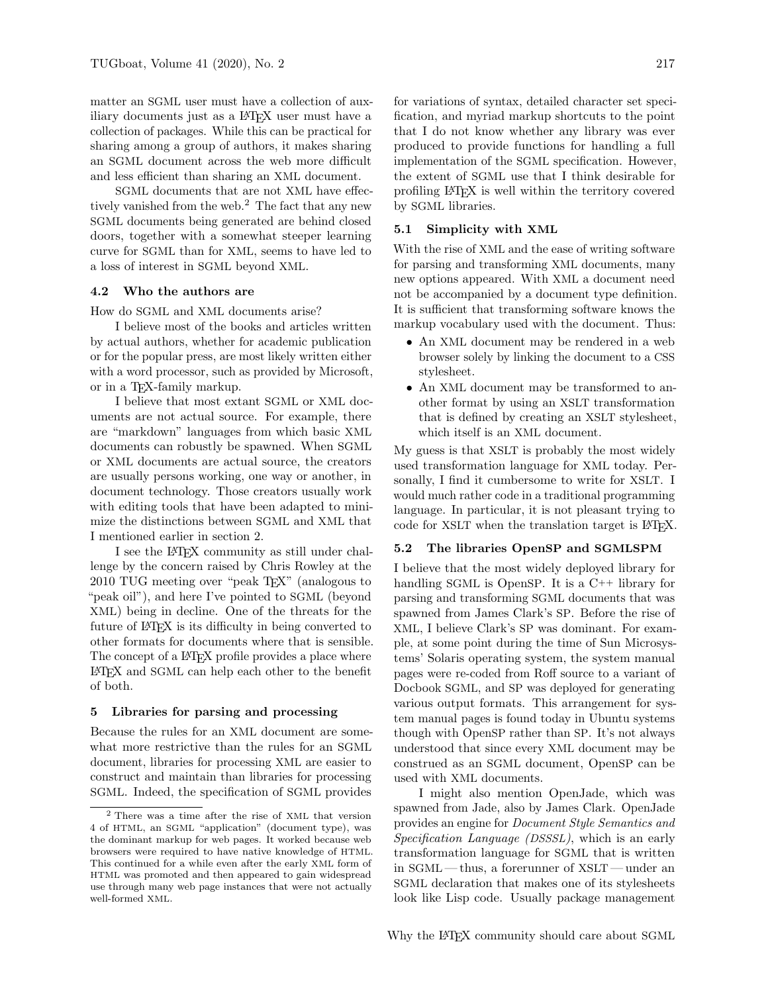matter an SGML user must have a collection of auxiliary documents just as a LATEX user must have a collection of packages. While this can be practical for sharing among a group of authors, it makes sharing an SGML document across the web more difficult and less efficient than sharing an XML document.

SGML documents that are not XML have effec-tively vanished from the web.<sup>[2](#page-2-0)</sup> The fact that any new SGML documents being generated are behind closed doors, together with a somewhat steeper learning curve for SGML than for XML, seems to have led to a loss of interest in SGML beyond XML.

#### 4.2 Who the authors are

How do SGML and XML documents arise?

I believe most of the books and articles written by actual authors, whether for academic publication or for the popular press, are most likely written either with a word processor, such as provided by Microsoft, or in a TEX-family markup.

I believe that most extant SGML or XML documents are not actual source. For example, there are "markdown" languages from which basic XML documents can robustly be spawned. When SGML or XML documents are actual source, the creators are usually persons working, one way or another, in document technology. Those creators usually work with editing tools that have been adapted to minimize the distinctions between SGML and XML that I mentioned earlier in section [2.](#page-0-0)

I see the LATEX community as still under challenge by the concern raised by Chris Rowley at the 2010 TUG meeting over "peak TEX" (analogous to "peak oil"), and here I've pointed to SGML (beyond XML) being in decline. One of the threats for the future of LATEX is its difficulty in being converted to other formats for documents where that is sensible. The concept of a LAT<sub>EX</sub> profile provides a place where LATEX and SGML can help each other to the benefit of both.

#### 5 Libraries for parsing and processing

Because the rules for an XML document are somewhat more restrictive than the rules for an SGML document, libraries for processing XML are easier to construct and maintain than libraries for processing SGML. Indeed, the specification of SGML provides

for variations of syntax, detailed character set specification, and myriad markup shortcuts to the point that I do not know whether any library was ever produced to provide functions for handling a full implementation of the SGML specification. However, the extent of SGML use that I think desirable for profiling LATEX is well within the territory covered by SGML libraries.

# 5.1 Simplicity with XML

With the rise of XML and the ease of writing software for parsing and transforming XML documents, many new options appeared. With XML a document need not be accompanied by a document type definition. It is sufficient that transforming software knows the markup vocabulary used with the document. Thus:

- An XML document may be rendered in a web browser solely by linking the document to a CSS stylesheet.
- An XML document may be transformed to another format by using an XSLT transformation that is defined by creating an XSLT stylesheet, which itself is an XML document.

My guess is that XSLT is probably the most widely used transformation language for XML today. Personally, I find it cumbersome to write for XSLT. I would much rather code in a traditional programming language. In particular, it is not pleasant trying to code for XSLT when the translation target is LAT<sub>F</sub>X.

#### 5.2 The libraries OpenSP and SGMLSPM

I believe that the most widely deployed library for handling SGML is OpenSP. It is a C++ library for parsing and transforming SGML documents that was spawned from James Clark's SP. Before the rise of XML, I believe Clark's SP was dominant. For example, at some point during the time of Sun Microsystems' Solaris operating system, the system manual pages were re-coded from Roff source to a variant of Docbook SGML, and SP was deployed for generating various output formats. This arrangement for system manual pages is found today in Ubuntu systems though with OpenSP rather than SP. It's not always understood that since every XML document may be construed as an SGML document, OpenSP can be used with XML documents.

I might also mention OpenJade, which was spawned from Jade, also by James Clark. OpenJade provides an engine for Document Style Semantics and Specification Language (DSSSL), which is an early transformation language for SGML that is written in SGML— thus, a forerunner of XSLT— under an SGML declaration that makes one of its stylesheets look like Lisp code. Usually package management

<span id="page-2-0"></span><sup>2</sup> There was a time after the rise of XML that version 4 of HTML, an SGML "application" (document type), was the dominant markup for web pages. It worked because web browsers were required to have native knowledge of HTML. This continued for a while even after the early XML form of HTML was promoted and then appeared to gain widespread use through many web page instances that were not actually well-formed XML.